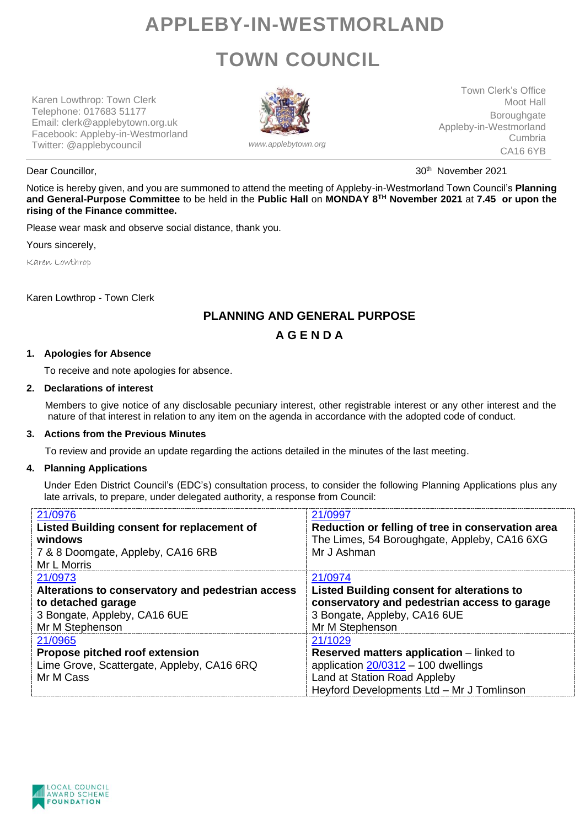## **APPLEBY-IN-WESTMORLAND TOWN COUNCIL**

Karen Lowthrop: Town Clerk Telephone: 017683 51177 Email: clerk@applebytown.org.uk Facebook: Appleby-in-Westmorland Twitter: @applebycouncil *www.applebytown.org*



Town Clerk's Office Moot Hall **Boroughgate** Appleby-in-Westmorland Cumbria CA16 6YB

Dear Councillor. **30th November 2021 Dear Councillor**, 30th November 2021

Notice is hereby given, and you are summoned to attend the meeting of Appleby-in-Westmorland Town Council's **Planning and General-Purpose Committee** to be held in the **Public Hall** on **MONDAY 8 TH November 2021** at **7.45 or upon the rising of the Finance committee.**

Please wear mask and observe social distance, thank you.

Yours sincerely,

Karen Lowthrop

Karen Lowthrop - Town Clerk

### **PLANNING AND GENERAL PURPOSE**

**A G E N D A**

#### **1. Apologies for Absence**

To receive and note apologies for absence.

#### **2. Declarations of interest**

Members to give notice of any disclosable pecuniary interest, other registrable interest or any other interest and the nature of that interest in relation to any item on the agenda in accordance with the adopted code of conduct.

#### **3. Actions from the Previous Minutes**

To review and provide an update regarding the actions detailed in the minutes of the last meeting.

#### **4. Planning Applications**

Under Eden District Council's (EDC's) consultation process, to consider the following Planning Applications plus any late arrivals, to prepare, under delegated authority, a response from Council:

| 21/0976<br>Listed Building consent for replacement of<br>windows<br>7 & 8 Doomgate, Appleby, CA16 6RB<br>Mr L Morris                  | 21/0997<br>Reduction or felling of tree in conservation area<br>The Limes, 54 Boroughgate, Appleby, CA16 6XG<br>Mr J Ashman                                                      |
|---------------------------------------------------------------------------------------------------------------------------------------|----------------------------------------------------------------------------------------------------------------------------------------------------------------------------------|
| 21/0973<br>Alterations to conservatory and pedestrian access<br>to detached garage<br>3 Bongate, Appleby, CA16 6UE<br>Mr M Stephenson | 21/0974<br>Listed Building consent for alterations to<br>conservatory and pedestrian access to garage<br>3 Bongate, Appleby, CA16 6UE<br>Mr M Stephenson                         |
| 21/0965<br>Propose pitched roof extension<br>Lime Grove, Scattergate, Appleby, CA16 6RQ<br>Mr M Cass                                  | 21/1029<br><b>Reserved matters application</b> – linked to<br>application $20/0312 - 100$ dwellings<br>Land at Station Road Appleby<br>Heyford Developments Ltd - Mr J Tomlinson |